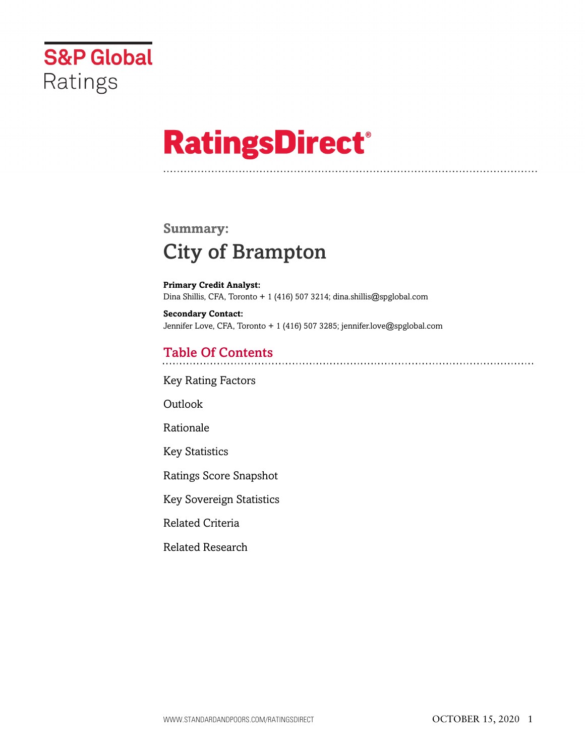

# **RatingsDirect®**

## **Summary:** City of Brampton

**Primary Credit Analyst:** Dina Shillis, CFA, Toronto + 1 (416) 507 3214; dina.shillis@spglobal.com

**Secondary Contact:** Jennifer Love, CFA, Toronto + 1 (416) 507 3285; jennifer.love@spglobal.com

## Table Of Contents

[Key Rating Factors](#page-1-0)

[Outlook](#page-1-1)

[Rationale](#page-2-0)

[Key Statistics](#page-3-0)

[Ratings Score Snapshot](#page-4-0)

[Key Sovereign Statistics](#page-4-1)

[Related Criteria](#page-4-2)

[Related Research](#page-4-3)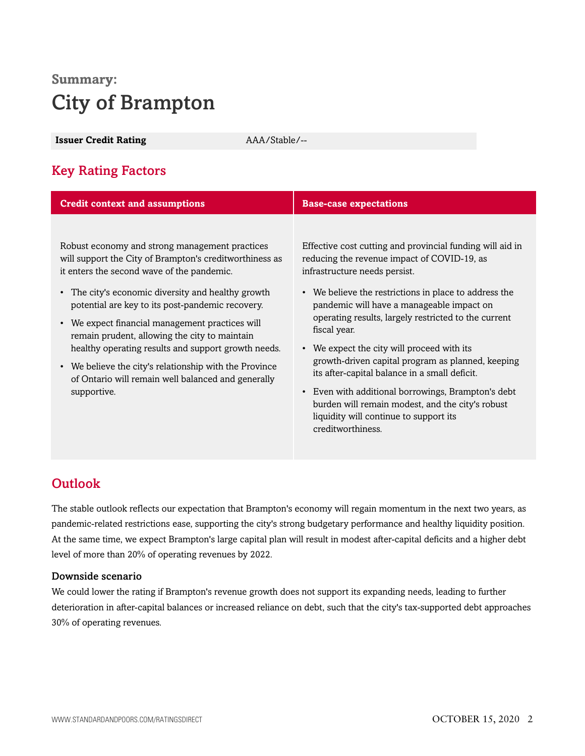# **Summary:** City of Brampton

<span id="page-1-0"></span>**Issuer Credit Rating** AAA/Stable/--

## Key Rating Factors

| <b>Credit context and assumptions</b>                                                                        | <b>Base-case expectations</b>                                                                                                                                         |
|--------------------------------------------------------------------------------------------------------------|-----------------------------------------------------------------------------------------------------------------------------------------------------------------------|
| Robust economy and strong management practices                                                               | Effective cost cutting and provincial funding will aid in                                                                                                             |
| will support the City of Brampton's creditworthiness as<br>it enters the second wave of the pandemic.        | reducing the revenue impact of COVID-19, as<br>infrastructure needs persist.                                                                                          |
| • The city's economic diversity and healthy growth<br>potential are key to its post-pandemic recovery.       | • We believe the restrictions in place to address the<br>pandemic will have a manageable impact on                                                                    |
| • We expect financial management practices will<br>remain prudent, allowing the city to maintain             | operating results, largely restricted to the current<br>fiscal year.                                                                                                  |
| healthy operating results and support growth needs.                                                          | • We expect the city will proceed with its                                                                                                                            |
| • We believe the city's relationship with the Province<br>of Ontario will remain well balanced and generally | growth-driven capital program as planned, keeping<br>its after-capital balance in a small deficit.                                                                    |
| supportive.                                                                                                  | • Even with additional borrowings, Brampton's debt<br>burden will remain modest, and the city's robust<br>liquidity will continue to support its<br>creditworthiness. |

## <span id="page-1-1"></span>**Outlook**

The stable outlook reflects our expectation that Brampton's economy will regain momentum in the next two years, as pandemic-related restrictions ease, supporting the city's strong budgetary performance and healthy liquidity position. At the same time, we expect Brampton's large capital plan will result in modest after-capital deficits and a higher debt level of more than 20% of operating revenues by 2022.

#### Downside scenario

We could lower the rating if Brampton's revenue growth does not support its expanding needs, leading to further deterioration in after-capital balances or increased reliance on debt, such that the city's tax-supported debt approaches 30% of operating revenues.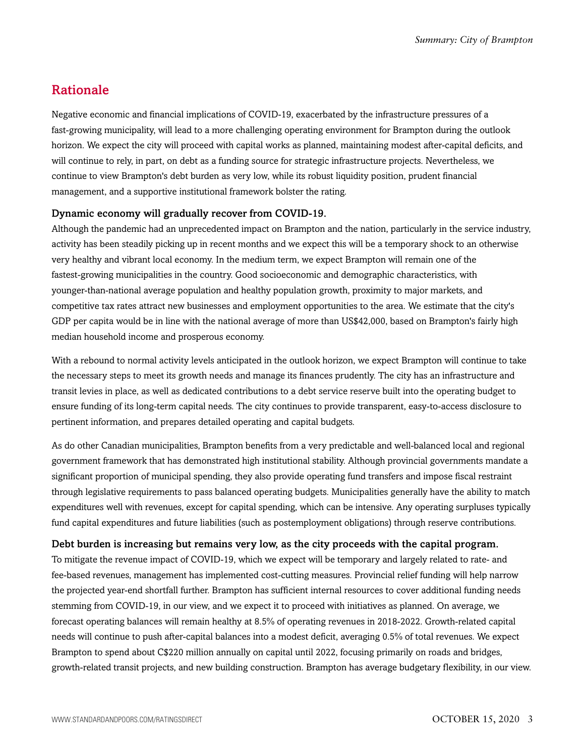## <span id="page-2-0"></span>Rationale

Negative economic and financial implications of COVID-19, exacerbated by the infrastructure pressures of a fast-growing municipality, will lead to a more challenging operating environment for Brampton during the outlook horizon. We expect the city will proceed with capital works as planned, maintaining modest after-capital deficits, and will continue to rely, in part, on debt as a funding source for strategic infrastructure projects. Nevertheless, we continue to view Brampton's debt burden as very low, while its robust liquidity position, prudent financial management, and a supportive institutional framework bolster the rating.

#### Dynamic economy will gradually recover from COVID-19.

Although the pandemic had an unprecedented impact on Brampton and the nation, particularly in the service industry, activity has been steadily picking up in recent months and we expect this will be a temporary shock to an otherwise very healthy and vibrant local economy. In the medium term, we expect Brampton will remain one of the fastest-growing municipalities in the country. Good socioeconomic and demographic characteristics, with younger-than-national average population and healthy population growth, proximity to major markets, and competitive tax rates attract new businesses and employment opportunities to the area. We estimate that the city's GDP per capita would be in line with the national average of more than US\$42,000, based on Brampton's fairly high median household income and prosperous economy.

With a rebound to normal activity levels anticipated in the outlook horizon, we expect Brampton will continue to take the necessary steps to meet its growth needs and manage its finances prudently. The city has an infrastructure and transit levies in place, as well as dedicated contributions to a debt service reserve built into the operating budget to ensure funding of its long-term capital needs. The city continues to provide transparent, easy-to-access disclosure to pertinent information, and prepares detailed operating and capital budgets.

As do other Canadian municipalities, Brampton benefits from a very predictable and well-balanced local and regional government framework that has demonstrated high institutional stability. Although provincial governments mandate a significant proportion of municipal spending, they also provide operating fund transfers and impose fiscal restraint through legislative requirements to pass balanced operating budgets. Municipalities generally have the ability to match expenditures well with revenues, except for capital spending, which can be intensive. Any operating surpluses typically fund capital expenditures and future liabilities (such as postemployment obligations) through reserve contributions.

#### Debt burden is increasing but remains very low, as the city proceeds with the capital program.

To mitigate the revenue impact of COVID-19, which we expect will be temporary and largely related to rate- and fee-based revenues, management has implemented cost-cutting measures. Provincial relief funding will help narrow the projected year-end shortfall further. Brampton has sufficient internal resources to cover additional funding needs stemming from COVID-19, in our view, and we expect it to proceed with initiatives as planned. On average, we forecast operating balances will remain healthy at 8.5% of operating revenues in 2018-2022. Growth-related capital needs will continue to push after-capital balances into a modest deficit, averaging 0.5% of total revenues. We expect Brampton to spend about C\$220 million annually on capital until 2022, focusing primarily on roads and bridges, growth-related transit projects, and new building construction. Brampton has average budgetary flexibility, in our view.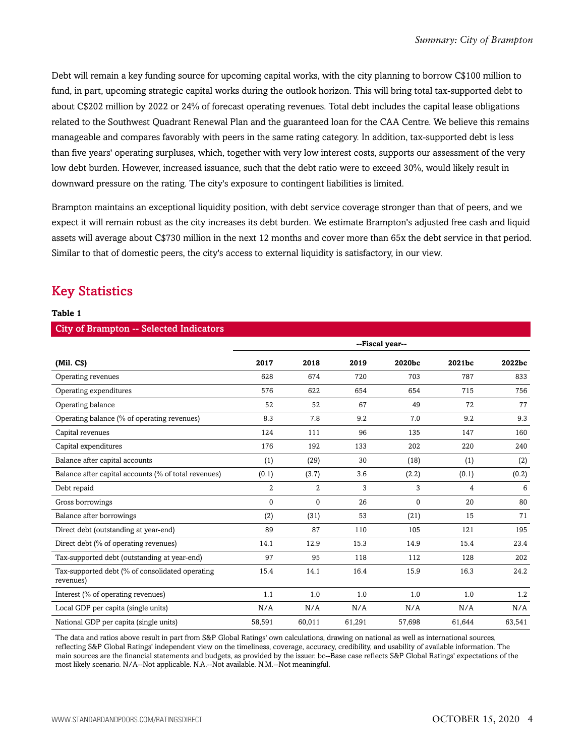Debt will remain a key funding source for upcoming capital works, with the city planning to borrow C\$100 million to fund, in part, upcoming strategic capital works during the outlook horizon. This will bring total tax-supported debt to about C\$202 million by 2022 or 24% of forecast operating revenues. Total debt includes the capital lease obligations related to the Southwest Quadrant Renewal Plan and the guaranteed loan for the CAA Centre. We believe this remains manageable and compares favorably with peers in the same rating category. In addition, tax-supported debt is less than five years' operating surpluses, which, together with very low interest costs, supports our assessment of the very low debt burden. However, increased issuance, such that the debt ratio were to exceed 30%, would likely result in downward pressure on the rating. The city's exposure to contingent liabilities is limited.

Brampton maintains an exceptional liquidity position, with debt service coverage stronger than that of peers, and we expect it will remain robust as the city increases its debt burden. We estimate Brampton's adjusted free cash and liquid assets will average about C\$730 million in the next 12 months and cover more than 65x the debt service in that period. Similar to that of domestic peers, the city's access to external liquidity is satisfactory, in our view.

### <span id="page-3-0"></span>Key Statistics

#### **Table 1**

| <b>City of Brampton -- Selected Indicators</b>               |                 |                |        |        |                |        |  |  |
|--------------------------------------------------------------|-----------------|----------------|--------|--------|----------------|--------|--|--|
|                                                              | --Fiscal year-- |                |        |        |                |        |  |  |
| $(Mil. \, CS)$                                               | 2017            | 2018           | 2019   | 2020bc | 2021bc         | 2022bc |  |  |
| Operating revenues                                           | 628             | 674            | 720    | 703    | 787            | 833    |  |  |
| Operating expenditures                                       | 576             | 622            | 654    | 654    | 715            | 756    |  |  |
| Operating balance                                            | 52              | 52             | 67     | 49     | 72             | 77     |  |  |
| Operating balance (% of operating revenues)                  | 8.3             | 7.8            | 9.2    | 7.0    | 9.2            | 9.3    |  |  |
| Capital revenues                                             | 124             | 111            | 96     | 135    | 147            | 160    |  |  |
| Capital expenditures                                         | 176             | 192            | 133    | 202    | 220            | 240    |  |  |
| Balance after capital accounts                               | (1)             | (29)           | 30     | (18)   | (1)            | (2)    |  |  |
| Balance after capital accounts (% of total revenues)         | (0.1)           | (3.7)          | 3.6    | (2.2)  | (0.1)          | (0.2)  |  |  |
| Debt repaid                                                  | $\overline{2}$  | $\overline{2}$ | 3      | 3      | $\overline{4}$ | 6      |  |  |
| Gross borrowings                                             | 0               | $\mathbf{0}$   | 26     | 0      | 20             | 80     |  |  |
| Balance after borrowings                                     | (2)             | (31)           | 53     | (21)   | 15             | 71     |  |  |
| Direct debt (outstanding at year-end)                        | 89              | 87             | 110    | 105    | 121            | 195    |  |  |
| Direct debt (% of operating revenues)                        | 14.1            | 12.9           | 15.3   | 14.9   | 15.4           | 23.4   |  |  |
| Tax-supported debt (outstanding at year-end)                 | 97              | 95             | 118    | 112    | 128            | 202    |  |  |
| Tax-supported debt (% of consolidated operating<br>revenues) | 15.4            | 14.1           | 16.4   | 15.9   | 16.3           | 24.2   |  |  |
| Interest (% of operating revenues)                           | 1.1             | 1.0            | 1.0    | 1.0    | 1.0            | 1.2    |  |  |
| Local GDP per capita (single units)                          | N/A             | N/A            | N/A    | N/A    | N/A            | N/A    |  |  |
| National GDP per capita (single units)                       | 58,591          | 60.011         | 61,291 | 57,698 | 61.644         | 63,541 |  |  |

The data and ratios above result in part from S&P Global Ratings' own calculations, drawing on national as well as international sources, reflecting S&P Global Ratings' independent view on the timeliness, coverage, accuracy, credibility, and usability of available information. The main sources are the financial statements and budgets, as provided by the issuer. bc--Base case reflects S&P Global Ratings' expectations of the most likely scenario. N/A--Not applicable. N.A.--Not available. N.M.--Not meaningful.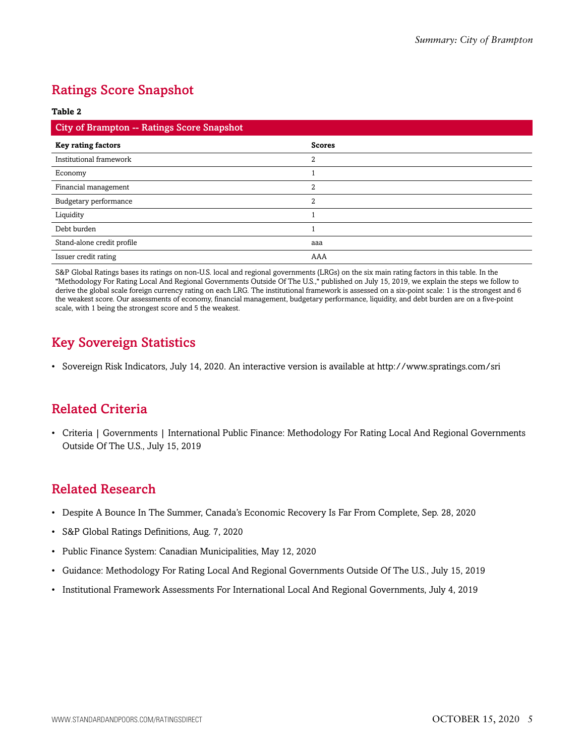## <span id="page-4-0"></span>Ratings Score Snapshot

#### **Table 2**

| City of Brampton -- Ratings Score Snapshot |                |  |  |
|--------------------------------------------|----------------|--|--|
| <b>Key rating factors</b>                  | <b>Scores</b>  |  |  |
| Institutional framework                    | 2              |  |  |
| Economy                                    |                |  |  |
| Financial management                       | $\overline{2}$ |  |  |
| Budgetary performance                      | 2              |  |  |
| Liquidity                                  |                |  |  |
| Debt burden                                |                |  |  |
| Stand-alone credit profile                 | aaa            |  |  |
| Issuer credit rating                       | AAA            |  |  |

S&P Global Ratings bases its ratings on non-U.S. local and regional governments (LRGs) on the six main rating factors in this table. In the "Methodology For Rating Local And Regional Governments Outside Of The U.S.," published on July 15, 2019, we explain the steps we follow to derive the global scale foreign currency rating on each LRG. The institutional framework is assessed on a six-point scale: 1 is the strongest and 6 the weakest score. Our assessments of economy, financial management, budgetary performance, liquidity, and debt burden are on a five-point scale, with 1 being the strongest score and 5 the weakest.

## <span id="page-4-1"></span>Key Sovereign Statistics

• Sovereign Risk Indicators, July 14, 2020. An interactive version is available at http://www.spratings.com/sri

## <span id="page-4-2"></span>Related Criteria

• Criteria | Governments | International Public Finance: Methodology For Rating Local And Regional Governments Outside Of The U.S., July 15, 2019

## <span id="page-4-3"></span>Related Research

- Despite A Bounce In The Summer, Canada's Economic Recovery Is Far From Complete, Sep. 28, 2020
- S&P Global Ratings Definitions, Aug. 7, 2020
- Public Finance System: Canadian Municipalities, May 12, 2020
- Guidance: Methodology For Rating Local And Regional Governments Outside Of The U.S., July 15, 2019
- Institutional Framework Assessments For International Local And Regional Governments, July 4, 2019